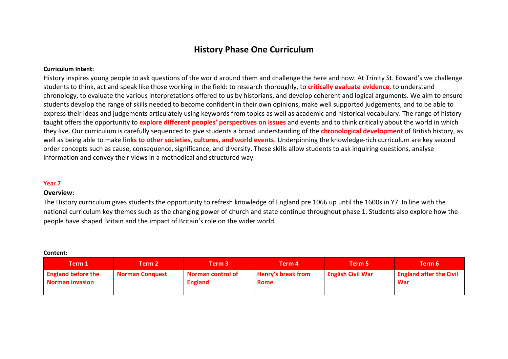# **History Phase One Curriculum**

## **Curriculum Intent:**

History inspires young people to ask questions of the world around them and challenge the here and now. At Trinity St. Edward's we challenge students to think, act and speak like those working in the field: to research thoroughly, to **critically evaluate evidence**, to understand chronology, to evaluate the various interpretations offered to us by historians, and develop coherent and logical arguments. We aim to ensure students develop the range of skills needed to become confident in their own opinions, make well supported judgements, and to be able to express their ideas and judgements articulately using keywords from topics as well as academic and historical vocabulary. The range of history taught offers the opportunity to **explore different peoples' perspectives on issues** and events and to think critically about the world in which they live. Our curriculum is carefully sequenced to give students a broad understanding of the **chronological development** of British history, as well as being able to make **links to other societies, cultures, and world events**. Underpinning the knowledge-rich curriculum are key second order concepts such as cause, consequence, significance, and diversity. These skills allow students to ask inquiring questions, analyse information and convey their views in a methodical and structured way. 

## **Year 7**

## **Overview:**

The History curriculum gives students the opportunity to refresh knowledge of England pre 1066 up until the 1600s in Y7. In line with the national curriculum key themes such as the changing power of church and state continue throughout phase 1. Students also explore how the people have shaped Britain and the impact of Britain's role on the wider world.

### **Content:**

| Term 1                                              | Term 2                 | Term 3                              | Term 4                                   | Term 5                   | Term 6                                       |
|-----------------------------------------------------|------------------------|-------------------------------------|------------------------------------------|--------------------------|----------------------------------------------|
| <b>England before the</b><br><b>Norman invasion</b> | <b>Norman Conquest</b> | Norman control of<br><b>England</b> | <b>Henry's break from</b><br><b>Rome</b> | <b>English Civil War</b> | <b>England after the Civil</b><br><b>War</b> |